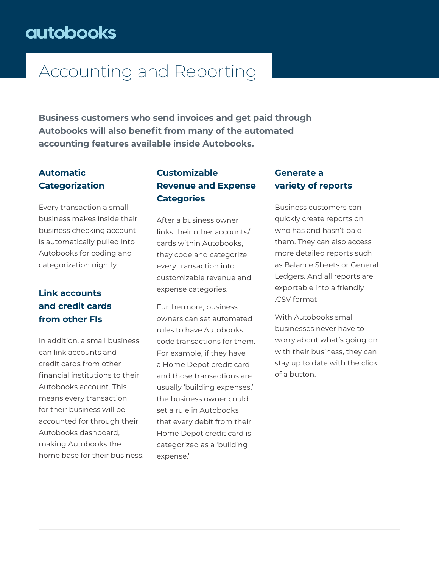# Accounting and Reporting

**Business customers who send invoices and get paid through Autobooks will also benefit from many of the automated accounting features available inside Autobooks.**

## **Automatic Categorization**

Every transaction a small business makes inside their business checking account is automatically pulled into Autobooks for coding and categorization nightly.

## **Link accounts and credit cards from other FIs**

In addition, a small business can link accounts and credit cards from other financial institutions to their Autobooks account. This means every transaction for their business will be accounted for through their Autobooks dashboard, making Autobooks the home base for their business.

## **Customizable Revenue and Expense Categories**

After a business owner links their other accounts/ cards within Autobooks, they code and categorize every transaction into customizable revenue and expense categories.

Furthermore, business owners can set automated rules to have Autobooks code transactions for them. For example, if they have a Home Depot credit card and those transactions are usually 'building expenses,' the business owner could set a rule in Autobooks that every debit from their Home Depot credit card is categorized as a 'building expense.'

### **Generate a variety of reports**

Business customers can quickly create reports on who has and hasn't paid them. They can also access more detailed reports such as Balance Sheets or General Ledgers. And all reports are exportable into a friendly .CSV format.

With Autobooks small businesses never have to worry about what's going on with their business, they can stay up to date with the click of a button.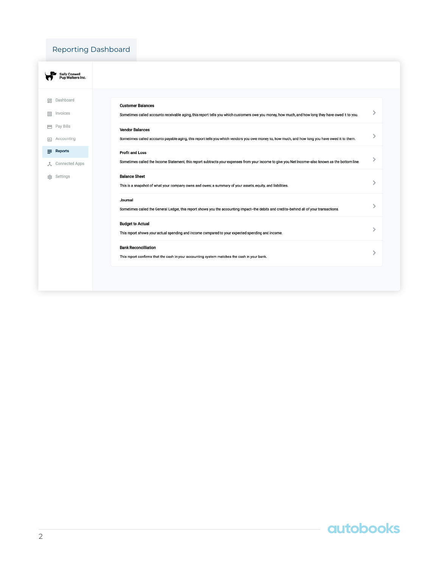### Reporting Dashboard

| <b>Sally Conwell</b><br>Pup Walkers Inc.   |                                                                                                                                                                               |   |
|--------------------------------------------|-------------------------------------------------------------------------------------------------------------------------------------------------------------------------------|---|
| Dashboard<br>먦<br>Invoices<br>目            | <b>Customer Balances</b><br>Sometimes called accounts receivable aging, this report tells you which customers owe you money, how much, and how long they have owed it to you. |   |
| Pay Bills<br>Accounting<br>u.              | <b>Vendor Balances</b><br>Sometimes called accounts payable aging, this report tells you which vendors you owe money to, how much, and how long you have owed it to them.     | ⋋ |
| <b>Reports</b><br>≣<br>Connected Apps<br>д | <b>Profit and Loss</b><br>Sometimes called the Income Statement, this report subtracts your expenses from your income to give you Net Income-also known as the bottom line.   | ⋋ |
| Settings<br>සි                             | <b>Balance Sheet</b><br>This is a snapshot of what your company owns and owes; a summary of your assets, equity, and liabilities.                                             | ↘ |
|                                            | Journal<br>Sometimes called the General Ledger, this report shows you the accounting impact-the debits and credits-behind all of your transactions.                           | ⋗ |
|                                            | <b>Budget to Actual</b><br>This report shows your actual spending and income compared to your expected spending and income.                                                   | ⋋ |
|                                            | <b>Bank Reconcilliation</b><br>This report confirms that the cash in your accounting system matches the cash in your bank.                                                    | ↘ |
|                                            |                                                                                                                                                                               |   |